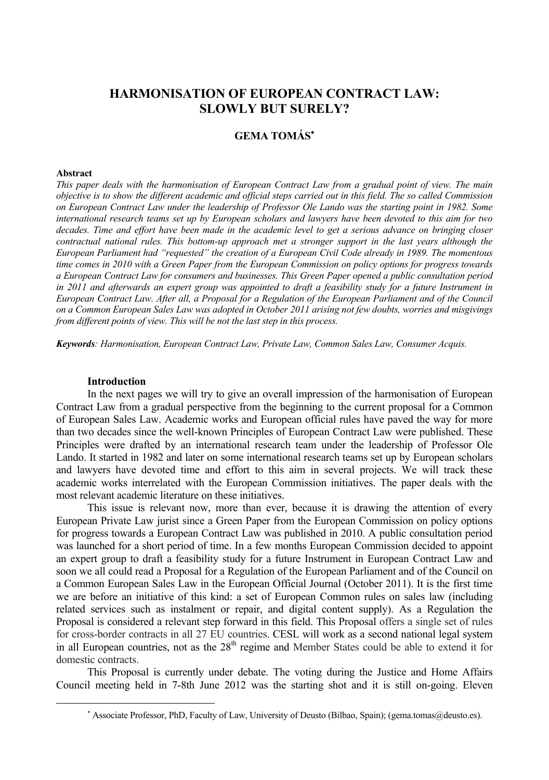# **HARMONISATION OF EUROPEAN CONTRACT LAW: SLOWLY BUT SURELY?**

## **GEMA TOMÁS**<sup>∗</sup>

#### **Abstract**

 $\overline{a}$ 

*This paper deals with the harmonisation of European Contract Law from a gradual point of view. The main objective is to show the different academic and official steps carried out in this field. The so called Commission on European Contract Law under the leadership of Professor Ole Lando was the starting point in 1982. Some international research teams set up by European scholars and lawyers have been devoted to this aim for two decades. Time and effort have been made in the academic level to get a serious advance on bringing closer contractual national rules. This bottom-up approach met a stronger support in the last years although the European Parliament had "requested" the creation of a European Civil Code already in 1989. The momentous time comes in 2010 with a Green Paper from the European Commission on policy options for progress towards a European Contract Law for consumers and businesses. This Green Paper opened a public consultation period in 2011 and afterwards an expert group was appointed to draft a feasibility study for a future Instrument in European Contract Law. After all, a Proposal for a Regulation of the European Parliament and of the Council on a Common European Sales Law was adopted in October 2011 arising not few doubts, worries and misgivings from different points of view. This will be not the last step in this process.* 

*Keywords: Harmonisation, European Contract Law, Private Law, Common Sales Law, Consumer Acquis.* 

#### **Introduction**

In the next pages we will try to give an overall impression of the harmonisation of European Contract Law from a gradual perspective from the beginning to the current proposal for a Common of European Sales Law. Academic works and European official rules have paved the way for more than two decades since the well-known Principles of European Contract Law were published. These Principles were drafted by an international research team under the leadership of Professor Ole Lando. It started in 1982 and later on some international research teams set up by European scholars and lawyers have devoted time and effort to this aim in several projects. We will track these academic works interrelated with the European Commission initiatives. The paper deals with the most relevant academic literature on these initiatives.

This issue is relevant now, more than ever, because it is drawing the attention of every European Private Law jurist since a Green Paper from the European Commission on policy options for progress towards a European Contract Law was published in 2010. A public consultation period was launched for a short period of time. In a few months European Commission decided to appoint an expert group to draft a feasibility study for a future Instrument in European Contract Law and soon we all could read a Proposal for a Regulation of the European Parliament and of the Council on a Common European Sales Law in the European Official Journal (October 2011). It is the first time we are before an initiative of this kind: a set of European Common rules on sales law (including related services such as instalment or repair, and digital content supply). As a Regulation the Proposal is considered a relevant step forward in this field. This Proposal offers a single set of rules for cross-border contracts in all 27 EU countries. CESL will work as a second national legal system in all European countries, not as the  $28<sup>th</sup>$  regime and Member States could be able to extend it for domestic contracts.

This Proposal is currently under debate. The voting during the Justice and Home Affairs Council meeting held in 7-8th June 2012 was the starting shot and it is still on-going. Eleven

<sup>∗</sup> Associate Professor, PhD, Faculty of Law, University of Deusto (Bilbao, Spain); (gema.tomas@deusto.es).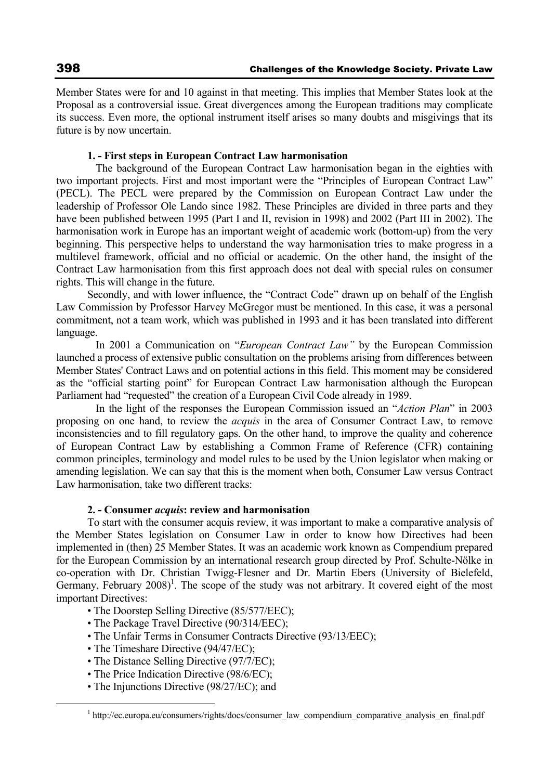Member States were for and 10 against in that meeting. This implies that Member States look at the Proposal as a controversial issue. Great divergences among the European traditions may complicate its success. Even more, the optional instrument itself arises so many doubts and misgivings that its future is by now uncertain.

## **1. - First steps in European Contract Law harmonisation**

 The background of the European Contract Law harmonisation began in the eighties with two important projects. First and most important were the "Principles of European Contract Law" (PECL). The PECL were prepared by the Commission on European Contract Law under the leadership of Professor Ole Lando since 1982. These Principles are divided in three parts and they have been published between 1995 (Part I and II, revision in 1998) and 2002 (Part III in 2002). The harmonisation work in Europe has an important weight of academic work (bottom-up) from the very beginning. This perspective helps to understand the way harmonisation tries to make progress in a multilevel framework, official and no official or academic. On the other hand, the insight of the Contract Law harmonisation from this first approach does not deal with special rules on consumer rights. This will change in the future.

Secondly, and with lower influence, the "Contract Code" drawn up on behalf of the English Law Commission by Professor Harvey McGregor must be mentioned. In this case, it was a personal commitment, not a team work, which was published in 1993 and it has been translated into different language.

 In 2001 a Communication on "*European Contract Law"* by the European Commission launched a process of extensive public consultation on the problems arising from differences between Member States' Contract Laws and on potential actions in this field. This moment may be considered as the "official starting point" for European Contract Law harmonisation although the European Parliament had "requested" the creation of a European Civil Code already in 1989.

In the light of the responses the European Commission issued an "*Action Plan*" in 2003 proposing on one hand, to review the *acquis* in the area of Consumer Contract Law, to remove inconsistencies and to fill regulatory gaps. On the other hand, to improve the quality and coherence of European Contract Law by establishing a Common Frame of Reference (CFR) containing common principles, terminology and model rules to be used by the Union legislator when making or amending legislation. We can say that this is the moment when both, Consumer Law versus Contract Law harmonisation, take two different tracks:

## **2. - Consumer** *acquis***: review and harmonisation**

To start with the consumer acquis review, it was important to make a comparative analysis of the Member States legislation on Consumer Law in order to know how Directives had been implemented in (then) 25 Member States. It was an academic work known as Compendium prepared for the European Commission by an international research group directed by Prof. Schulte-Nölke in co-operation with Dr. Christian Twigg-Flesner and Dr. Martin Ebers (University of Bielefeld, Germany, February 2008)<sup>1</sup>. The scope of the study was not arbitrary. It covered eight of the most important Directives:

- The Doorstep Selling Directive (85/577/EEC);
- The Package Travel Directive (90/314/EEC);
- The Unfair Terms in Consumer Contracts Directive (93/13/EEC);
- The Timeshare Directive (94/47/EC);
- The Distance Selling Directive (97/7/EC);
- The Price Indication Directive (98/6/EC);
- The Injunctions Directive (98/27/EC); and

 $\frac{1}{1}$ <sup>1</sup> http://ec.europa.eu/consumers/rights/docs/consumer\_law\_compendium\_comparative\_analysis\_en\_final.pdf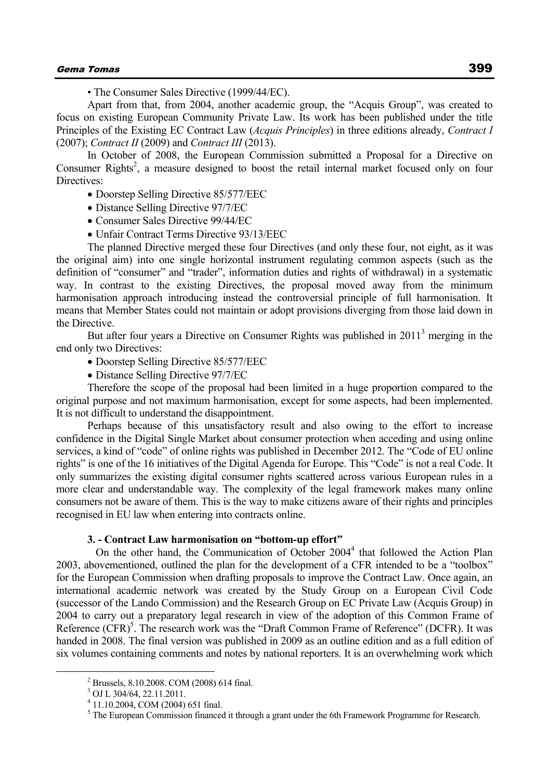• The Consumer Sales Directive (1999/44/EC).

Apart from that, from 2004, another academic group, the "Acquis Group", was created to focus on existing European Community Private Law. Its work has been published under the title Principles of the Existing EC Contract Law (*Acquis Principles*) in three editions already, *Contract I* (2007); *Contract II* (2009) and *Contract III* (2013).

In October of 2008, the European Commission submitted a Proposal for a Directive on Consumer Rights<sup>2</sup>, a measure designed to boost the retail internal market focused only on four Directives:

• Doorstep Selling Directive 85/577/EEC

- Distance Selling Directive 97/7/EC
- Consumer Sales Directive 99/44/EC
- Unfair Contract Terms Directive 93/13/EEC

The planned Directive merged these four Directives (and only these four, not eight, as it was the original aim) into one single horizontal instrument regulating common aspects (such as the definition of "consumer" and "trader", information duties and rights of withdrawal) in a systematic way. In contrast to the existing Directives, the proposal moved away from the minimum harmonisation approach introducing instead the controversial principle of full harmonisation. It means that Member States could not maintain or adopt provisions diverging from those laid down in the Directive.

But after four years a Directive on Consumer Rights was published in  $2011<sup>3</sup>$  merging in the end only two Directives:

- Doorstep Selling Directive 85/577/EEC
- Distance Selling Directive 97/7/EC

Therefore the scope of the proposal had been limited in a huge proportion compared to the original purpose and not maximum harmonisation, except for some aspects, had been implemented. It is not difficult to understand the disappointment.

Perhaps because of this unsatisfactory result and also owing to the effort to increase confidence in the Digital Single Market about consumer protection when acceding and using online services, a kind of "code" of online rights was published in December 2012. The "Code of EU online rights" is one of the 16 initiatives of the Digital Agenda for Europe. This "Code" is not a real Code. It only summarizes the existing digital consumer rights scattered across various European rules in a more clear and understandable way. The complexity of the legal framework makes many online consumers not be aware of them. This is the way to make citizens aware of their rights and principles recognised in EU law when entering into contracts online.

## **3. - Contract Law harmonisation on "bottom-up effort"**

On the other hand, the Communication of October  $2004<sup>4</sup>$  that followed the Action Plan 2003, abovementioned, outlined the plan for the development of a CFR intended to be a "toolbox" for the European Commission when drafting proposals to improve the Contract Law. Once again, an international academic network was created by the Study Group on a European Civil Code (successor of the Lando Commission) and the Research Group on EC Private Law (Acquis Group) in 2004 to carry out a preparatory legal research in view of the adoption of this Common Frame of Reference (CFR)<sup>5</sup>. The research work was the "Draft Common Frame of Reference" (DCFR). It was handed in 2008. The final version was published in 2009 as an outline edition and as a full edition of six volumes containing comments and notes by national reporters. It is an overwhelming work which

 $\overline{\phantom{a}}$ Brussels, 8.10.2008. COM (2008) 614 final.

<sup>3</sup> OJ L 304/64, 22.11.2011.

<sup>4</sup> 11.10.2004, COM (2004) 651 final.

<sup>&</sup>lt;sup>5</sup> The European Commission financed it through a grant under the 6th Framework Programme for Research.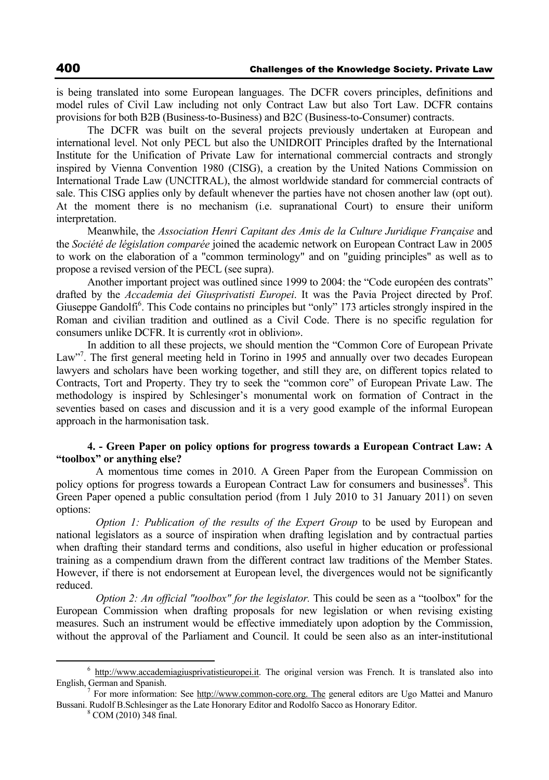is being translated into some European languages. The DCFR covers principles, definitions and model rules of Civil Law including not only Contract Law but also Tort Law. DCFR contains provisions for both B2B (Business-to-Business) and B2C (Business-to-Consumer) contracts.

The DCFR was built on the several projects previously undertaken at European and international level. Not only PECL but also the UNIDROIT Principles drafted by the International Institute for the Unification of Private Law for international commercial contracts and strongly inspired by Vienna Convention 1980 (CISG), a creation by the United Nations Commission on International Trade Law (UNCITRAL), the almost worldwide standard for commercial contracts of sale. This CISG applies only by default whenever the parties have not chosen another law (opt out). At the moment there is no mechanism (i.e. supranational Court) to ensure their uniform interpretation.

Meanwhile, the *Association Henri Capitant des Amis de la Culture Juridique Française* and the *Société de législation comparée* joined the academic network on European Contract Law in 2005 to work on the elaboration of a "common terminology" and on "guiding principles" as well as to propose a revised version of the PECL (see supra).

Another important project was outlined since 1999 to 2004: the "Code européen des contrats" drafted by the *Accademia dei Giusprivatisti Europei*. It was the Pavia Project directed by Prof. Giuseppe Gandolfi<sup>6</sup>. This Code contains no principles but "only" 173 articles strongly inspired in the Roman and civilian tradition and outlined as a Civil Code. There is no specific regulation for consumers unlike DCFR. It is currently «rot in oblivion».

In addition to all these projects, we should mention the "Common Core of European Private Law"<sup>7</sup>. The first general meeting held in Torino in 1995 and annually over two decades European lawyers and scholars have been working together, and still they are, on different topics related to Contracts, Tort and Property. They try to seek the "common core" of European Private Law. The methodology is inspired by Schlesinger's monumental work on formation of Contract in the seventies based on cases and discussion and it is a very good example of the informal European approach in the harmonisation task.

## **4. - Green Paper on policy options for progress towards a European Contract Law: A "toolbox" or anything else?**

 A momentous time comes in 2010. A Green Paper from the European Commission on policy options for progress towards a European Contract Law for consumers and businesses<sup>8</sup>. This Green Paper opened a public consultation period (from 1 July 2010 to 31 January 2011) on seven options:

*Option 1: Publication of the results of the Expert Group* to be used by European and national legislators as a source of inspiration when drafting legislation and by contractual parties when drafting their standard terms and conditions, also useful in higher education or professional training as a compendium drawn from the different contract law traditions of the Member States. However, if there is not endorsement at European level, the divergences would not be significantly reduced.

*Option 2: An official "toolbox" for the legislator.* This could be seen as a "toolbox" for the European Commission when drafting proposals for new legislation or when revising existing measures. Such an instrument would be effective immediately upon adoption by the Commission, without the approval of the Parliament and Council. It could be seen also as an inter-institutional

 <sup>6</sup> http://www.accademiagiusprivatistieuropei.it. The original version was French. It is translated also into English, German and Spanish. 7

For more information: See http://www.common-core.org. The general editors are Ugo Mattei and Manuro Bussani. Rudolf B.Schlesinger as the Late Honorary Editor and Rodolfo Sacco as Honorary Editor. <sup>8</sup>

COM (2010) 348 final.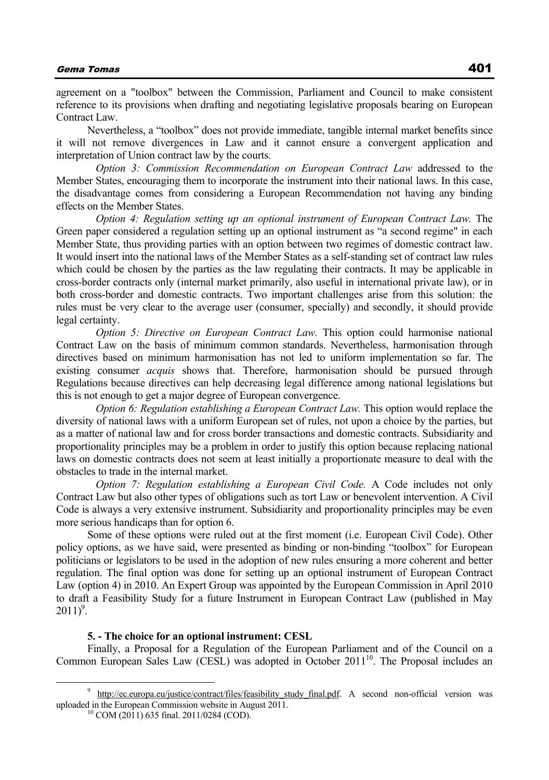## Gema Tomas 401

agreement on a "toolbox" between the Commission, Parliament and Council to make consistent reference to its provisions when drafting and negotiating legislative proposals bearing on European Contract Law.

Nevertheless, a "toolbox" does not provide immediate, tangible internal market benefits since it will not remove divergences in Law and it cannot ensure a convergent application and interpretation of Union contract law by the courts.

 *Option 3: Commission Recommendation on European Contract Law* addressed to the Member States, encouraging them to incorporate the instrument into their national laws. In this case, the disadvantage comes from considering a European Recommendation not having any binding effects on the Member States.

*Option 4: Regulation setting up an optional instrument of European Contract Law.* The Green paper considered a regulation setting up an optional instrument as "a second regime" in each Member State, thus providing parties with an option between two regimes of domestic contract law. It would insert into the national laws of the Member States as a self-standing set of contract law rules which could be chosen by the parties as the law regulating their contracts. It may be applicable in cross-border contracts only (internal market primarily, also useful in international private law), or in both cross-border and domestic contracts. Two important challenges arise from this solution: the rules must be very clear to the average user (consumer, specially) and secondly, it should provide legal certainty.

*Option 5: Directive on European Contract Law. This option could harmonise national* Contract Law on the basis of minimum common standards. Nevertheless, harmonisation through directives based on minimum harmonisation has not led to uniform implementation so far. The existing consumer *acquis* shows that. Therefore, harmonisation should be pursued through Regulations because directives can help decreasing legal difference among national legislations but this is not enough to get a major degree of European convergence.

*Option 6: Regulation establishing a European Contract Law. This option would replace the* diversity of national laws with a uniform European set of rules, not upon a choice by the parties, but as a matter of national law and for cross border transactions and domestic contracts. Subsidiarity and proportionality principles may be a problem in order to justify this option because replacing national laws on domestic contracts does not seem at least initially a proportionate measure to deal with the obstacles to trade in the internal market.

 *Option 7: Regulation establishing a European Civil Code.* A Code includes not only Contract Law but also other types of obligations such as tort Law or benevolent intervention. A Civil Code is always a very extensive instrument. Subsidiarity and proportionality principles may be even more serious handicaps than for option 6.

Some of these options were ruled out at the first moment (i.e. European Civil Code). Other policy options, as we have said, were presented as binding or non-binding "toolbox" for European politicians or legislators to be used in the adoption of new rules ensuring a more coherent and better regulation. The final option was done for setting up an optional instrument of European Contract Law (option 4) in 2010. An Expert Group was appointed by the European Commission in April 2010 to draft a Feasibility Study for a future Instrument in European Contract Law (published in May  $2011)^9$ .

#### **5. - The choice for an optional instrument: CESL**

Finally, a Proposal for a Regulation of the European Parliament and of the Council on a Common European Sales Law (CESL) was adopted in October 2011<sup>10</sup>. The Proposal includes an

 <sup>9</sup> http://ec.europa.eu/justice/contract/files/feasibility\_study\_final.pdf. A second non-official version was uploaded in the European Commission website in August 2011.<br><sup>10</sup> COM (2011) 635 final. 2011/0284 (COD).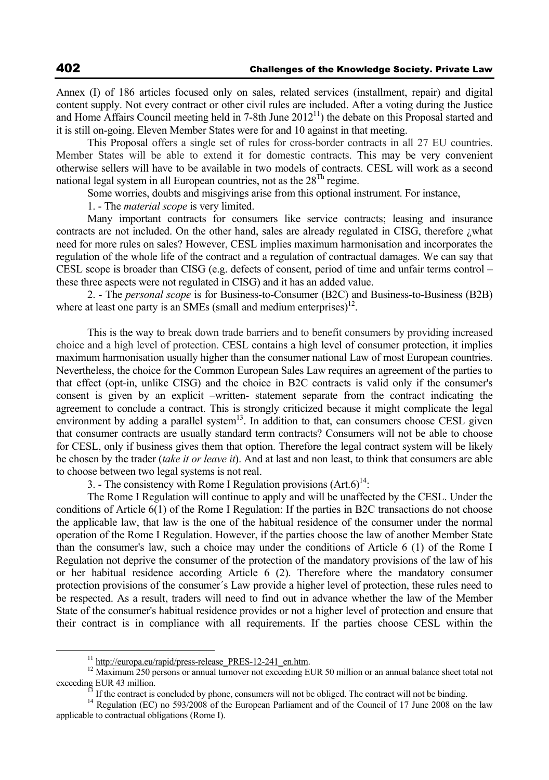Annex (I) of 186 articles focused only on sales, related services (installment, repair) and digital content supply. Not every contract or other civil rules are included. After a voting during the Justice and Home Affairs Council meeting held in 7-8th June  $2012<sup>11</sup>$ ) the debate on this Proposal started and it is still on-going. Eleven Member States were for and 10 against in that meeting.

This Proposal offers a single set of rules for cross-border contracts in all 27 EU countries. Member States will be able to extend it for domestic contracts. This may be very convenient otherwise sellers will have to be available in two models of contracts. CESL will work as a second national legal system in all European countries, not as the  $28^{Th}$  regime.

Some worries, doubts and misgivings arise from this optional instrument. For instance,

1. - The *material scope* is very limited.

Many important contracts for consumers like service contracts; leasing and insurance contracts are not included. On the other hand, sales are already regulated in CISG, therefore ¿what need for more rules on sales? However, CESL implies maximum harmonisation and incorporates the regulation of the whole life of the contract and a regulation of contractual damages. We can say that CESL scope is broader than CISG (e.g. defects of consent, period of time and unfair terms control – these three aspects were not regulated in CISG) and it has an added value.

2. - The *personal scope* is for Business-to-Consumer (B2C) and Business-to-Business (B2B) where at least one party is an SMEs (small and medium enterprises) $^{12}$ .

This is the way to break down trade barriers and to benefit consumers by providing increased choice and a high level of protection. CESL contains a high level of consumer protection, it implies maximum harmonisation usually higher than the consumer national Law of most European countries. Nevertheless, the choice for the Common European Sales Law requires an agreement of the parties to that effect (opt-in, unlike CISG) and the choice in B2C contracts is valid only if the consumer's consent is given by an explicit –written- statement separate from the contract indicating the agreement to conclude a contract. This is strongly criticized because it might complicate the legal environment by adding a parallel system $13$ . In addition to that, can consumers choose CESL given that consumer contracts are usually standard term contracts? Consumers will not be able to choose for CESL, only if business gives them that option. Therefore the legal contract system will be likely be chosen by the trader (*take it or leave it*). And at last and non least, to think that consumers are able to choose between two legal systems is not real.

3. - The consistency with Rome I Regulation provisions  $(Art.6)^{14}$ :

The Rome I Regulation will continue to apply and will be unaffected by the CESL. Under the conditions of Article 6(1) of the Rome I Regulation: If the parties in B2C transactions do not choose the applicable law, that law is the one of the habitual residence of the consumer under the normal operation of the Rome I Regulation. However, if the parties choose the law of another Member State than the consumer's law, such a choice may under the conditions of Article 6 (1) of the Rome I Regulation not deprive the consumer of the protection of the mandatory provisions of the law of his or her habitual residence according Article 6 (2). Therefore where the mandatory consumer protection provisions of the consumer´s Law provide a higher level of protection, these rules need to be respected. As a result, traders will need to find out in advance whether the law of the Member State of the consumer's habitual residence provides or not a higher level of protection and ensure that their contract is in compliance with all requirements. If the parties choose CESL within the

<sup>&</sup>lt;sup>11</sup> http://europa.eu/rapid/press-release\_PRES-12-241\_en.htm. 12<br><sup>12</sup> Maximum 250 persons or annual turnover not exceeding EUR 50 million or an annual balance sheet total not exceeding EUR 43 million.<br><sup>13</sup> If the contract is concluded by phone, consumers will not be obliged. The contract will not be binding.<br><sup>14</sup> Regulation (EC) no 593/2008 of the European Parliament and of the Council of 17 Ju

applicable to contractual obligations (Rome I).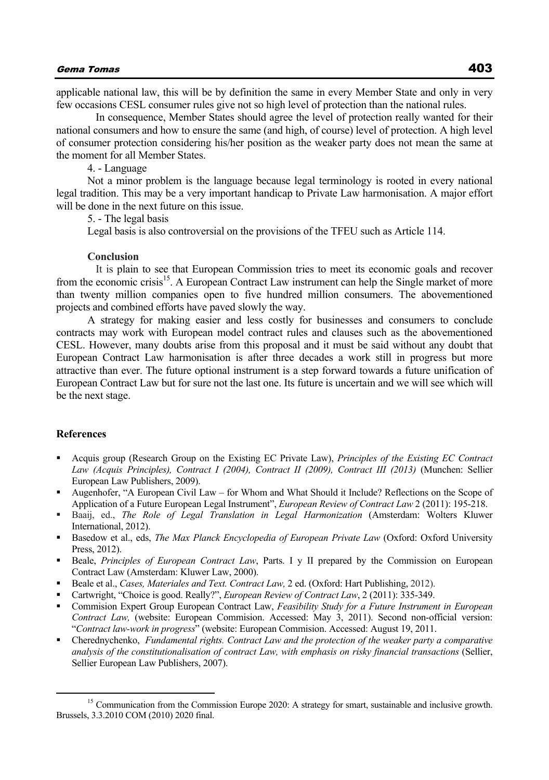applicable national law, this will be by definition the same in every Member State and only in very few occasions CESL consumer rules give not so high level of protection than the national rules.

 In consequence, Member States should agree the level of protection really wanted for their national consumers and how to ensure the same (and high, of course) level of protection. A high level of consumer protection considering his/her position as the weaker party does not mean the same at the moment for all Member States.

4. - Language

Not a minor problem is the language because legal terminology is rooted in every national legal tradition. This may be a very important handicap to Private Law harmonisation. A major effort will be done in the next future on this issue.

5. - The legal basis

Legal basis is also controversial on the provisions of the TFEU such as Article 114.

#### **Conclusion**

 It is plain to see that European Commission tries to meet its economic goals and recover from the economic crisis<sup>15</sup>. A European Contract Law instrument can help the Single market of more than twenty million companies open to five hundred million consumers. The abovementioned projects and combined efforts have paved slowly the way.

A strategy for making easier and less costly for businesses and consumers to conclude contracts may work with European model contract rules and clauses such as the abovementioned CESL. However, many doubts arise from this proposal and it must be said without any doubt that European Contract Law harmonisation is after three decades a work still in progress but more attractive than ever. The future optional instrument is a step forward towards a future unification of European Contract Law but for sure not the last one. Its future is uncertain and we will see which will be the next stage.

## **References**

- Acquis group (Research Group on the Existing EC Private Law), *Principles of the Existing EC Contract Law (Acquis Principles), Contract I (2004), Contract II (2009), Contract III (2013)* (Munchen: Sellier European Law Publishers, 2009).
- Augenhofer, "A European Civil Law for Whom and What Should it Include? Reflections on the Scope of Application of a Future European Legal Instrument", *European Review of Contract Law* 2 (2011): 195-218.
- Baaij, ed., *The Role of Legal Translation in Legal Harmonization* (Amsterdam: Wolters Kluwer International, 2012).
- Basedow et al., eds, *The Max Planck Encyclopedia of European Private Law* (Oxford: Oxford University Press, 2012).
- Beale, *Principles of European Contract Law*, Parts. I y II prepared by the Commission on European Contract Law (Amsterdam: Kluwer Law, 2000).
- Beale et al., *Cases, Materiales and Text. Contract Law,* 2 ed. (Oxford: Hart Publishing, 2012).
- Cartwright, "Choice is good. Really?", *European Review of Contract Law*, 2 (2011): 335-349.
- Commision Expert Group European Contract Law, *Feasibility Study for a Future Instrument in European Contract Law,* (website: European Commision. Accessed: May 3, 2011). Second non-official version: "*Contract law-work in progress*" (website: European Commision. Accessed: August 19, 2011.
- Cherednychenko, *Fundamental rights. Contract Law and the protection of the weaker party a comparative analysis of the constitutionalisation of contract Law, with emphasis on risky financial transactions* (Sellier, Sellier European Law Publishers, 2007).

<sup>&</sup>lt;sup>15</sup> Communication from the Commission Europe 2020: A strategy for smart, sustainable and inclusive growth. Brussels, 3.3.2010 COM (2010) 2020 final.